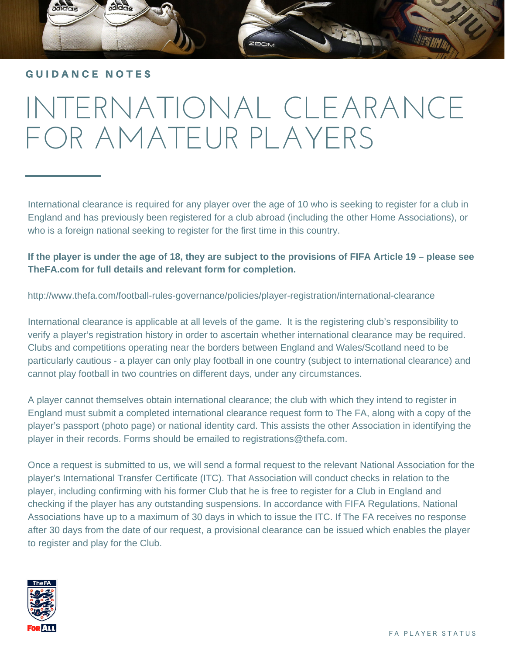### GUIDANCE NOTES

# INTERNATIONAL CLEARANCE FOR AMATEUR PLAYERS

International clearance is required for any player over the age of 10 who is seeking to register for a club in England and has previously been registered for a club abroad (including the other Home Associations), or who is a foreign national seeking to register for the first time in this country.

**If the player is under the age of 18, they are subject to the provisions of FIFA Article 19 – please see TheFA.com for full details and relevant form for completion.** 

http://www.thefa.com/football-rules-governance/policies/player-registration/international-clearance

International clearance is applicable at all levels of the game. It is the registering club's responsibility to verify a player's registration history in order to ascertain whether international clearance may be required. Clubs and competitions operating near the borders between England and Wales/Scotland need to be particularly cautious - a player can only play football in one country (subject to international clearance) and cannot play football in two countries on different days, under any circumstances.

A player cannot themselves obtain international clearance; the club with which they intend to register in England must submit a completed international clearance request form to The FA, along with a copy of the player's passport (photo page) or national identity card. This assists the other Association in identifying the player in their records. Forms should be emailed to registrations@thefa.com.

Once a request is submitted to us, we will send a formal request to the relevant National Association for the player's International Transfer Certificate (ITC). That Association will conduct checks in relation to the player, including confirming with his former Club that he is free to register for a Club in England and checking if the player has any outstanding suspensions. In accordance with FIFA Regulations, National Associations have up to a maximum of 30 days in which to issue the ITC. If The FA receives no response after 30 days from the date of our request, a provisional clearance can be issued which enables the player to register and play for the Club.

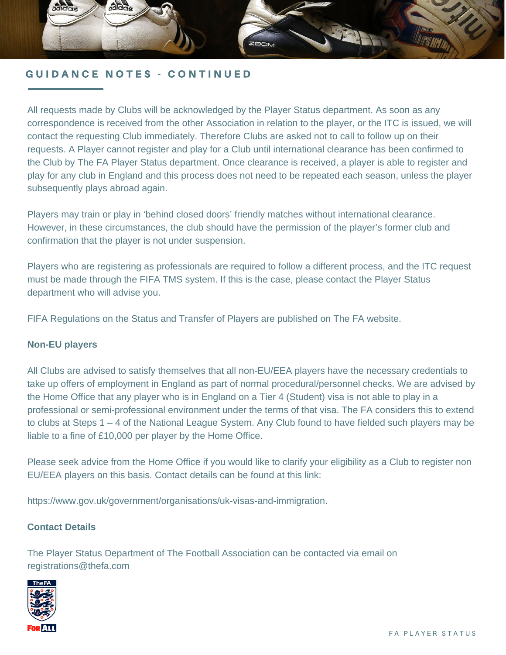

All requests made by Clubs will be acknowledged by the Player Status department. As soon as any correspondence is received from the other Association in relation to the player, or the ITC is issued, we will contact the requesting Club immediately. Therefore Clubs are asked not to call to follow up on their requests. A Player cannot register and play for a Club until international clearance has been confirmed to the Club by The FA Player Status department. Once clearance is received, a player is able to register and play for any club in England and this process does not need to be repeated each season, unless the player subsequently plays abroad again.

Players may train or play in 'behind closed doors' friendly matches without international clearance. However, in these circumstances, the club should have the permission of the player's former club and confirmation that the player is not under suspension.

Players who are registering as professionals are required to follow a different process, and the ITC request must be made through the FIFA TMS system. If this is the case, please contact the Player Status department who will advise you.

FIFA Regulations on the Status and Transfer of Players are published on The FA website.

#### **Non-EU players**

All Clubs are advised to satisfy themselves that all non-EU/EEA players have the necessary credentials to take up offers of employment in England as part of normal procedural/personnel checks. We are advised by the Home Office that any player who is in England on a Tier 4 (Student) visa is not able to play in a professional or semi-professional environment under the terms of that visa. The FA considers this to extend to clubs at Steps 1 – 4 of the National League System. Any Club found to have fielded such players may be liable to a fine of £10,000 per player by the Home Office.

Please seek advice from the Home Office if you would like to clarify your eligibility as a Club to register non EU/EEA players on this basis. Contact details can be found at this link:

https://www.gov.uk/government/organisations/uk-visas-and-immigration.

#### **Contact Details**

The Player Status Department of The Football Association can be contacted via email on registrations@thefa.com